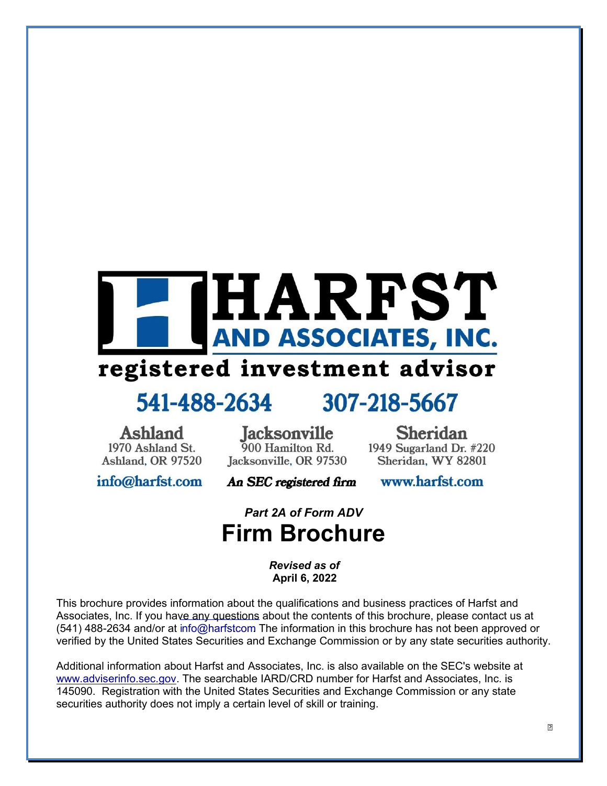# HARFST AND ASSOCIATES, INC.

## registered investment advisor

## 541-488-2634

## 307-218-5667

Ashland 1970 Ashland St. Ashland, OR 97520

**Jacksonville** 900 Hamilton Rd. Jacksonville, OR 97530

**Sheridan** 1949 Sugarland Dr. #220 Sheridan, WY 82801

info@harfst.com

An SEC registered firm

www.harfst.com

## *Part 2A of Form ADV*  **Firm Brochure**

*Revised as of* **April 6, 2022**

This brochure provides information about the qualifications and business practices of Harfst and Associates, Inc. If you have any questions about the contents of this brochure, please contact us at (541) 488-2634 and/or at info@harfst.com The information in this brochure has not been approved or verified by the United States Securities and Exchange Commission or by any state securities authority.

Additional information about Harfst and Associates, Inc. is also available on the SEC's website at www.adviserinfo.sec.gov. The searchable IARD/CRD number for Harfst and Associates, Inc. is 145090. Registration with the United States Securities and Exchange Commission or any state securities authority does not imply a certain level of skill or training.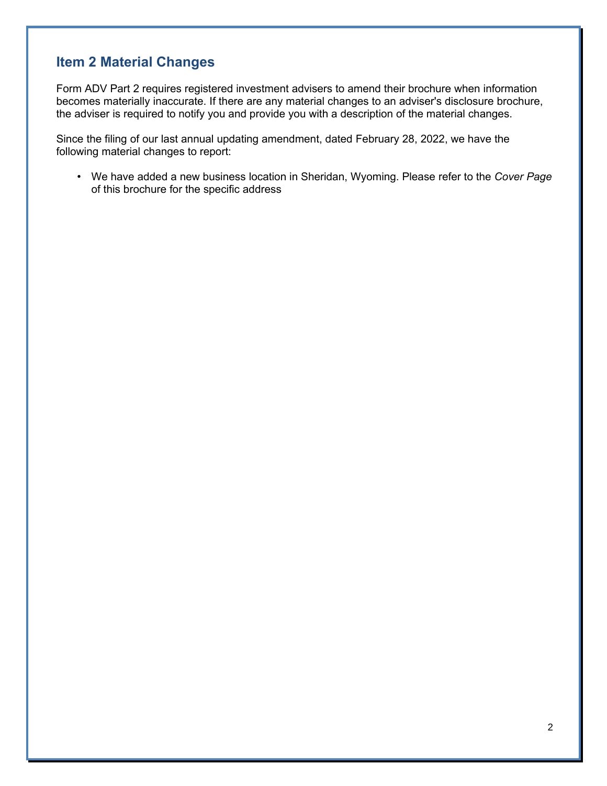## **Item 2 Material Changes**

Form ADV Part 2 requires registered investment advisers to amend their brochure when information becomes materially inaccurate. If there are any material changes to an adviser's disclosure brochure, the adviser is required to notify you and provide you with a description of the material changes.

Since the filing of our last annual updating amendment, dated February 28, 2022, we have the following material changes to report:

• We have added a new business location in Sheridan, Wyoming. Please refer to the *Cover Page* of this brochure for the specific address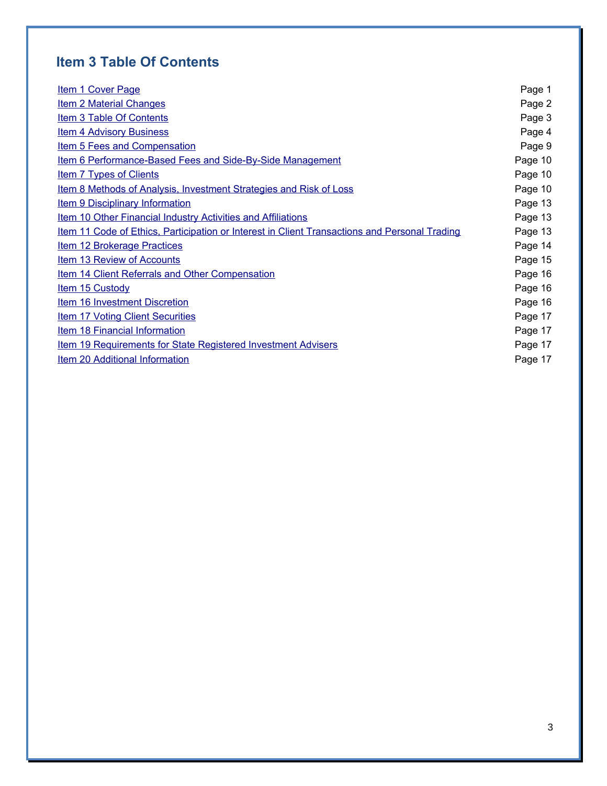## **Item 3 Table Of Contents**

| <b>Item 1 Cover Page</b>                                                                             | Page 1  |
|------------------------------------------------------------------------------------------------------|---------|
| <b>Item 2 Material Changes</b>                                                                       | Page 2  |
| <b>Item 3 Table Of Contents</b>                                                                      | Page 3  |
| <b>Item 4 Advisory Business</b>                                                                      | Page 4  |
| <b>Item 5 Fees and Compensation</b>                                                                  | Page 9  |
| Item 6 Performance-Based Fees and Side-By-Side Management                                            | Page 10 |
| <b>Item 7 Types of Clients</b>                                                                       | Page 10 |
| Item 8 Methods of Analysis, Investment Strategies and Risk of Loss                                   | Page 10 |
| <b>Item 9 Disciplinary Information</b>                                                               | Page 13 |
| <b>Item 10 Other Financial Industry Activities and Affiliations</b>                                  | Page 13 |
| <u>Item 11 Code of Ethics, Participation or Interest in Client Transactions and Personal Trading</u> | Page 13 |
| <b>Item 12 Brokerage Practices</b>                                                                   | Page 14 |
| Item 13 Review of Accounts                                                                           | Page 15 |
| <b>Item 14 Client Referrals and Other Compensation</b>                                               | Page 16 |
| <b>Item 15 Custody</b>                                                                               | Page 16 |
| Item 16 Investment Discretion                                                                        | Page 16 |
| <b>Item 17 Voting Client Securities</b>                                                              | Page 17 |
| Item 18 Financial Information                                                                        | Page 17 |
| <b>Item 19 Requirements for State Registered Investment Advisers</b>                                 | Page 17 |
| Item 20 Additional Information                                                                       | Page 17 |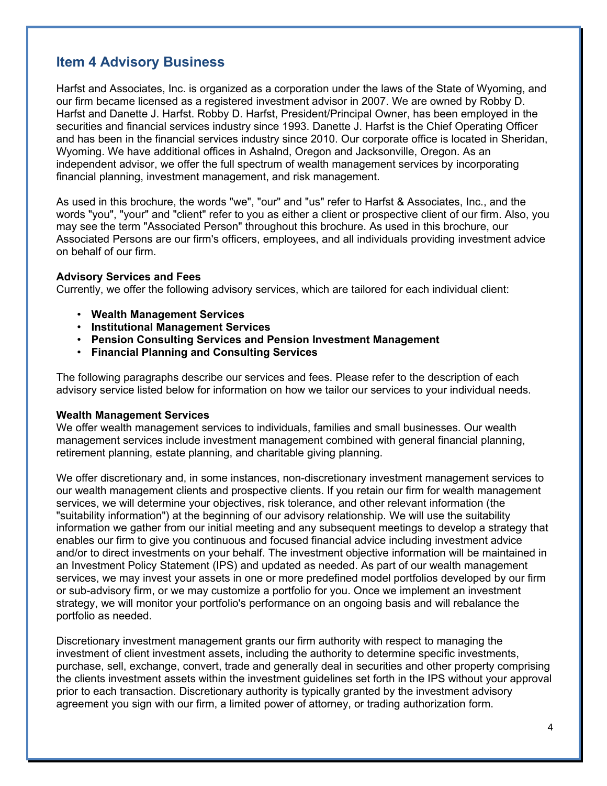## **Item 4 Advisory Business**

Harfst and Associates, Inc. is organized as a corporation under the laws of the State of Wyoming, and our firm became licensed as a registered investment advisor in 2007. We are owned by Robby D. Harfst and Danette J. Harfst. Robby D. Harfst, President/Principal Owner, has been employed in the securities and financial services industry since 1993. Danette J. Harfst is the Chief Operating Officer and has been in the financial services industry since 2010. Our corporate office is located in Sheridan, Wyoming. We have additional offices in Ashalnd, Oregon and Jacksonville, Oregon. As an independent advisor, we offer the full spectrum of wealth management services by incorporating financial planning, investment management, and risk management.

As used in this brochure, the words "we", "our" and "us" refer to Harfst & Associates, Inc., and the words "you", "your" and "client" refer to you as either a client or prospective client of our firm. Also, you may see the term "Associated Person" throughout this brochure. As used in this brochure, our Associated Persons are our firm's officers, employees, and all individuals providing investment advice on behalf of our firm.

### **Advisory Services and Fees**

Currently, we offer the following advisory services, which are tailored for each individual client:

- **Wealth Management Services**
- **Institutional Management Services**
- **Pension Consulting Services and Pension Investment Management**
- **Financial Planning and Consulting Services**

The following paragraphs describe our services and fees. Please refer to the description of each advisory service listed below for information on how we tailor our services to your individual needs.

### **Wealth Management Services**

We offer wealth management services to individuals, families and small businesses. Our wealth management services include investment management combined with general financial planning, retirement planning, estate planning, and charitable giving planning.

We offer discretionary and, in some instances, non-discretionary investment management services to our wealth management clients and prospective clients. If you retain our firm for wealth management services, we will determine your objectives, risk tolerance, and other relevant information (the "suitability information") at the beginning of our advisory relationship. We will use the suitability information we gather from our initial meeting and any subsequent meetings to develop a strategy that enables our firm to give you continuous and focused financial advice including investment advice and/or to direct investments on your behalf. The investment objective information will be maintained in an Investment Policy Statement (IPS) and updated as needed. As part of our wealth management services, we may invest your assets in one or more predefined model portfolios developed by our firm or sub-advisory firm, or we may customize a portfolio for you. Once we implement an investment strategy, we will monitor your portfolio's performance on an ongoing basis and will rebalance the portfolio as needed.

Discretionary investment management grants our firm authority with respect to managing the investment of client investment assets, including the authority to determine specific investments, purchase, sell, exchange, convert, trade and generally deal in securities and other property comprising the clients investment assets within the investment guidelines set forth in the IPS without your approval prior to each transaction. Discretionary authority is typically granted by the investment advisory agreement you sign with our firm, a limited power of attorney, or trading authorization form.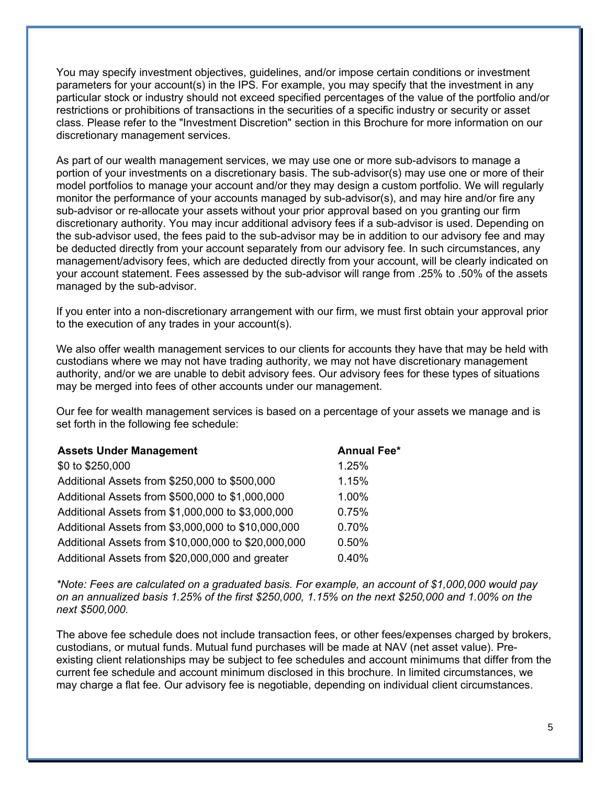You may specify investment objectives, guidelines, and/or impose certain conditions or investment parameters for your account(s) in the IPS. For example, you may specify that the investment in any particular stock or industry should not exceed specified percentages of the value of the portfolio and/or restrictions or prohibitions of transactions in the securities of a specific industry or security or asset class. Please refer to the "Investment Discretion" section in this Brochure for more information on our discretionary management services.

As part of our wealth management services, we may use one or more sub-advisors to manage a portion of your investments on a discretionary basis. The sub-advisor(s) may use one or more of their model portfolios to manage your account and/or they may design a custom portfolio. We will regularly monitor the performance of your accounts managed by sub-advisor(s), and may hire and/or fire any sub-advisor or re-allocate your assets without your prior approval based on you granting our firm discretionary authority. You may incur additional advisory fees if a sub-advisor is used. Depending on the sub-advisor used, the fees paid to the sub-advisor may be in addition to our advisory fee and may be deducted directly from your account separately from our advisory fee. In such circumstances, any management/advisory fees, which are deducted directly from your account, will be clearly indicated on your account statement. Fees assessed by the sub-advisor will range from .25% to .50% of the assets managed by the sub-advisor.

If you enter into a non-discretionary arrangement with our firm, we must first obtain your approval prior to the execution of any trades in your account(s).

We also offer wealth management services to our clients for accounts they have that may be held with custodians where we may not have trading authority, we may not have discretionary management authority, and/or we are unable to debit advisory fees. Our advisory fees for these types of situations may be merged into fees of other accounts under our management.

Our fee for wealth management services is based on a percentage of your assets we manage and is set forth in the following fee schedule:

| <b>Assets Under Management</b>                      | <b>Annual Fee*</b> |
|-----------------------------------------------------|--------------------|
| \$0 to \$250,000                                    | 1.25%              |
| Additional Assets from \$250,000 to \$500,000       | 1.15%              |
| Additional Assets from \$500,000 to \$1,000,000     | 1.00%              |
| Additional Assets from \$1,000,000 to \$3,000,000   | 0.75%              |
| Additional Assets from \$3,000,000 to \$10,000,000  | 0.70%              |
| Additional Assets from \$10,000,000 to \$20,000,000 | 0.50%              |
| Additional Assets from \$20,000,000 and greater     | 0.40%              |

*\*Note: Fees are calculated on a graduated basis. For example, an account of \$1,000,000 would pay on an annualized basis 1.25% of the first \$250,000, 1.15% on the next \$250,000 and 1.00% on the next \$500,000.*

The above fee schedule does not include transaction fees, or other fees/expenses charged by brokers, custodians, or mutual funds. Mutual fund purchases will be made at NAV (net asset value). Preexisting client relationships may be subject to fee schedules and account minimums that differ from the current fee schedule and account minimum disclosed in this brochure. In limited circumstances, we may charge a flat fee. Our advisory fee is negotiable, depending on individual client circumstances.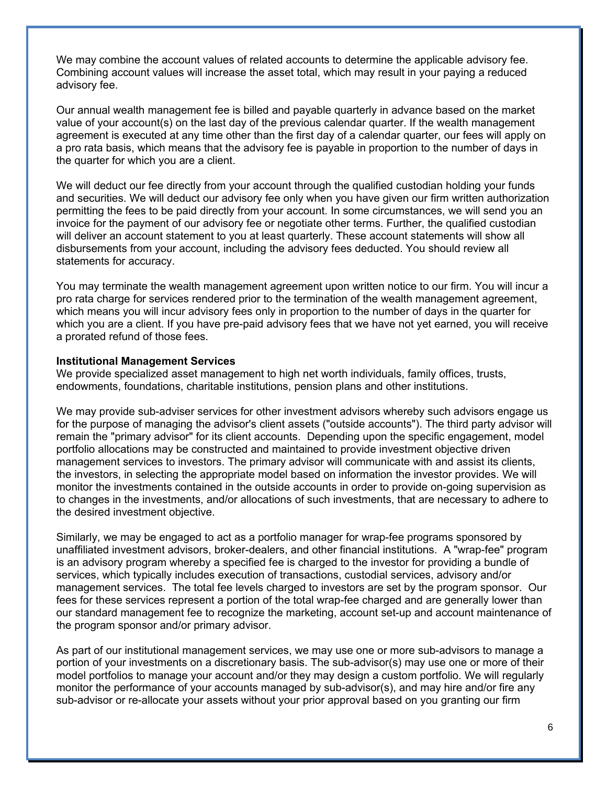We may combine the account values of related accounts to determine the applicable advisory fee. Combining account values will increase the asset total, which may result in your paying a reduced advisory fee.

Our annual wealth management fee is billed and payable quarterly in advance based on the market value of your account(s) on the last day of the previous calendar quarter. If the wealth management agreement is executed at any time other than the first day of a calendar quarter, our fees will apply on a pro rata basis, which means that the advisory fee is payable in proportion to the number of days in the quarter for which you are a client.

We will deduct our fee directly from your account through the qualified custodian holding your funds and securities. We will deduct our advisory fee only when you have given our firm written authorization permitting the fees to be paid directly from your account. In some circumstances, we will send you an invoice for the payment of our advisory fee or negotiate other terms. Further, the qualified custodian will deliver an account statement to you at least quarterly. These account statements will show all disbursements from your account, including the advisory fees deducted. You should review all statements for accuracy.

You may terminate the wealth management agreement upon written notice to our firm. You will incur a pro rata charge for services rendered prior to the termination of the wealth management agreement, which means you will incur advisory fees only in proportion to the number of days in the quarter for which you are a client. If you have pre-paid advisory fees that we have not yet earned, you will receive a prorated refund of those fees.

#### **Institutional Management Services**

We provide specialized asset management to high net worth individuals, family offices, trusts, endowments, foundations, charitable institutions, pension plans and other institutions.

We may provide sub-adviser services for other investment advisors whereby such advisors engage us for the purpose of managing the advisor's client assets ("outside accounts"). The third party advisor will remain the "primary advisor" for its client accounts. Depending upon the specific engagement, model portfolio allocations may be constructed and maintained to provide investment objective driven management services to investors. The primary advisor will communicate with and assist its clients, the investors, in selecting the appropriate model based on information the investor provides. We will monitor the investments contained in the outside accounts in order to provide on-going supervision as to changes in the investments, and/or allocations of such investments, that are necessary to adhere to the desired investment objective.

Similarly, we may be engaged to act as a portfolio manager for wrap-fee programs sponsored by unaffiliated investment advisors, broker-dealers, and other financial institutions. A "wrap-fee" program is an advisory program whereby a specified fee is charged to the investor for providing a bundle of services, which typically includes execution of transactions, custodial services, advisory and/or management services. The total fee levels charged to investors are set by the program sponsor. Our fees for these services represent a portion of the total wrap-fee charged and are generally lower than our standard management fee to recognize the marketing, account set-up and account maintenance of the program sponsor and/or primary advisor.

As part of our institutional management services, we may use one or more sub-advisors to manage a portion of your investments on a discretionary basis. The sub-advisor(s) may use one or more of their model portfolios to manage your account and/or they may design a custom portfolio. We will regularly monitor the performance of your accounts managed by sub-advisor(s), and may hire and/or fire any sub-advisor or re-allocate your assets without your prior approval based on you granting our firm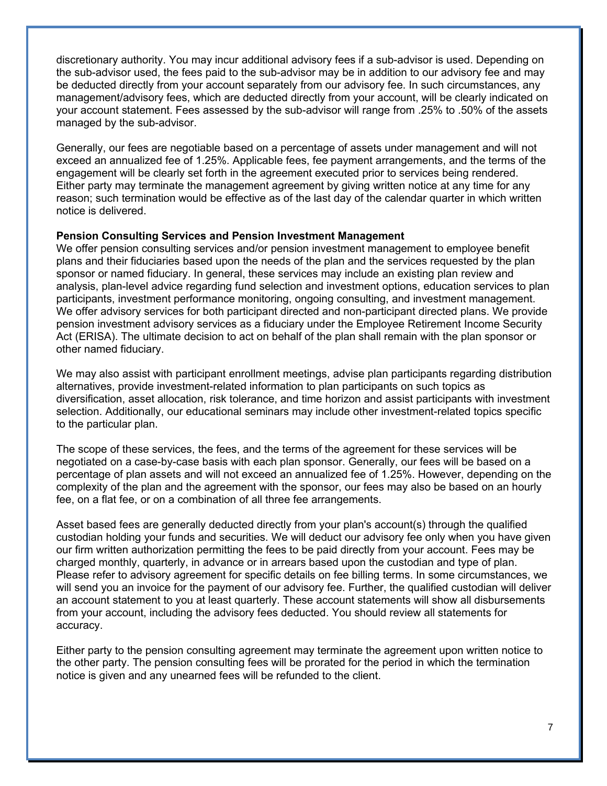discretionary authority. You may incur additional advisory fees if a sub-advisor is used. Depending on the sub-advisor used, the fees paid to the sub-advisor may be in addition to our advisory fee and may be deducted directly from your account separately from our advisory fee. In such circumstances, any management/advisory fees, which are deducted directly from your account, will be clearly indicated on your account statement. Fees assessed by the sub-advisor will range from .25% to .50% of the assets managed by the sub-advisor.

Generally, our fees are negotiable based on a percentage of assets under management and will not exceed an annualized fee of 1.25%. Applicable fees, fee payment arrangements, and the terms of the engagement will be clearly set forth in the agreement executed prior to services being rendered. Either party may terminate the management agreement by giving written notice at any time for any reason; such termination would be effective as of the last day of the calendar quarter in which written notice is delivered.

#### **Pension Consulting Services and Pension Investment Management**

We offer pension consulting services and/or pension investment management to employee benefit plans and their fiduciaries based upon the needs of the plan and the services requested by the plan sponsor or named fiduciary. In general, these services may include an existing plan review and analysis, plan-level advice regarding fund selection and investment options, education services to plan participants, investment performance monitoring, ongoing consulting, and investment management. We offer advisory services for both participant directed and non-participant directed plans. We provide pension investment advisory services as a fiduciary under the Employee Retirement Income Security Act (ERISA). The ultimate decision to act on behalf of the plan shall remain with the plan sponsor or other named fiduciary.

We may also assist with participant enrollment meetings, advise plan participants regarding distribution alternatives, provide investment-related information to plan participants on such topics as diversification, asset allocation, risk tolerance, and time horizon and assist participants with investment selection. Additionally, our educational seminars may include other investment-related topics specific to the particular plan.

The scope of these services, the fees, and the terms of the agreement for these services will be negotiated on a case-by-case basis with each plan sponsor. Generally, our fees will be based on a percentage of plan assets and will not exceed an annualized fee of 1.25%. However, depending on the complexity of the plan and the agreement with the sponsor, our fees may also be based on an hourly fee, on a flat fee, or on a combination of all three fee arrangements.

Asset based fees are generally deducted directly from your plan's account(s) through the qualified custodian holding your funds and securities. We will deduct our advisory fee only when you have given our firm written authorization permitting the fees to be paid directly from your account. Fees may be charged monthly, quarterly, in advance or in arrears based upon the custodian and type of plan. Please refer to advisory agreement for specific details on fee billing terms. In some circumstances, we will send you an invoice for the payment of our advisory fee. Further, the qualified custodian will deliver an account statement to you at least quarterly. These account statements will show all disbursements from your account, including the advisory fees deducted. You should review all statements for accuracy.

Either party to the pension consulting agreement may terminate the agreement upon written notice to the other party. The pension consulting fees will be prorated for the period in which the termination notice is given and any unearned fees will be refunded to the client.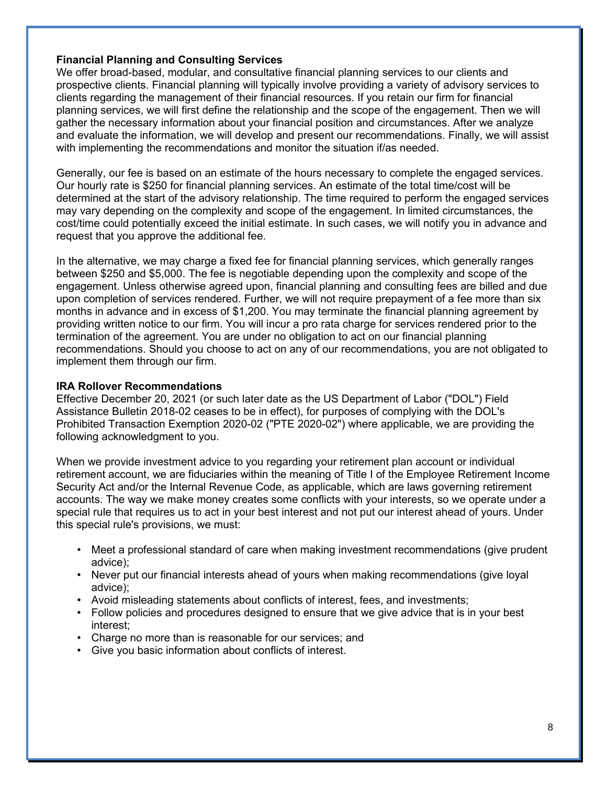### **Financial Planning and Consulting Services**

We offer broad-based, modular, and consultative financial planning services to our clients and prospective clients. Financial planning will typically involve providing a variety of advisory services to clients regarding the management of their financial resources. If you retain our firm for financial planning services, we will first define the relationship and the scope of the engagement. Then we will gather the necessary information about your financial position and circumstances. After we analyze and evaluate the information, we will develop and present our recommendations. Finally, we will assist with implementing the recommendations and monitor the situation if/as needed.

Generally, our fee is based on an estimate of the hours necessary to complete the engaged services. Our hourly rate is \$250 for financial planning services. An estimate of the total time/cost will be determined at the start of the advisory relationship. The time required to perform the engaged services may vary depending on the complexity and scope of the engagement. In limited circumstances, the cost/time could potentially exceed the initial estimate. In such cases, we will notify you in advance and request that you approve the additional fee.

In the alternative, we may charge a fixed fee for financial planning services, which generally ranges between \$250 and \$5,000. The fee is negotiable depending upon the complexity and scope of the engagement. Unless otherwise agreed upon, financial planning and consulting fees are billed and due upon completion of services rendered. Further, we will not require prepayment of a fee more than six months in advance and in excess of \$1,200. You may terminate the financial planning agreement by providing written notice to our firm. You will incur a pro rata charge for services rendered prior to the termination of the agreement. You are under no obligation to act on our financial planning recommendations. Should you choose to act on any of our recommendations, you are not obligated to implement them through our firm.

### **IRA Rollover Recommendations**

Effective December 20, 2021 (or such later date as the US Department of Labor ("DOL") Field Assistance Bulletin 2018-02 ceases to be in effect), for purposes of complying with the DOL's Prohibited Transaction Exemption 2020-02 ("PTE 2020-02") where applicable, we are providing the following acknowledgment to you.

When we provide investment advice to you regarding your retirement plan account or individual retirement account, we are fiduciaries within the meaning of Title I of the Employee Retirement Income Security Act and/or the Internal Revenue Code, as applicable, which are laws governing retirement accounts. The way we make money creates some conflicts with your interests, so we operate under a special rule that requires us to act in your best interest and not put our interest ahead of yours. Under this special rule's provisions, we must:

- Meet a professional standard of care when making investment recommendations (give prudent advice);
- Never put our financial interests ahead of yours when making recommendations (give loyal advice);
- Avoid misleading statements about conflicts of interest, fees, and investments;
- Follow policies and procedures designed to ensure that we give advice that is in your best interest;
- Charge no more than is reasonable for our services; and
- Give you basic information about conflicts of interest.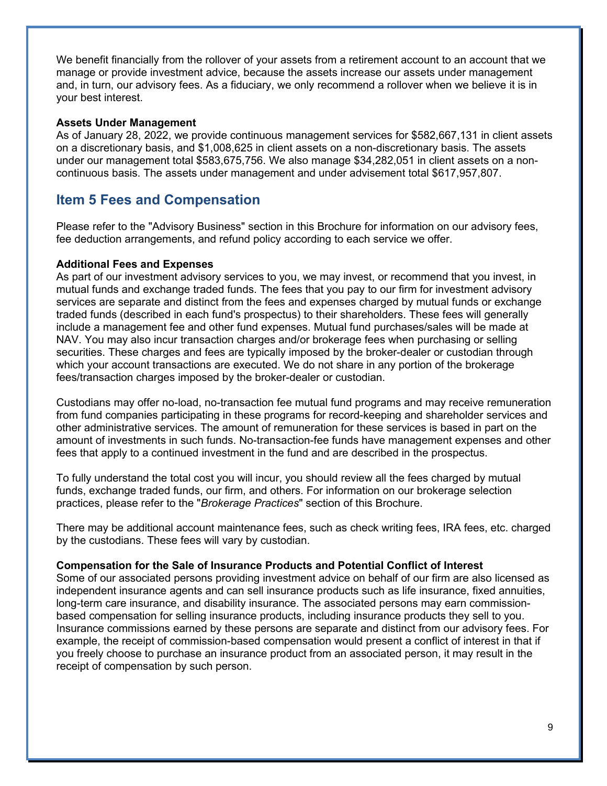We benefit financially from the rollover of your assets from a retirement account to an account that we manage or provide investment advice, because the assets increase our assets under management and, in turn, our advisory fees. As a fiduciary, we only recommend a rollover when we believe it is in your best interest.

#### **Assets Under Management**

As of January 28, 2022, we provide continuous management services for \$582,667,131 in client assets on a discretionary basis, and \$1,008,625 in client assets on a non-discretionary basis. The assets under our management total \$583,675,756. We also manage \$34,282,051 in client assets on a noncontinuous basis. The assets under management and under advisement total \$617,957,807.

### **Item 5 Fees and Compensation**

Please refer to the "Advisory Business" section in this Brochure for information on our advisory fees, fee deduction arrangements, and refund policy according to each service we offer.

### **Additional Fees and Expenses**

As part of our investment advisory services to you, we may invest, or recommend that you invest, in mutual funds and exchange traded funds. The fees that you pay to our firm for investment advisory services are separate and distinct from the fees and expenses charged by mutual funds or exchange traded funds (described in each fund's prospectus) to their shareholders. These fees will generally include a management fee and other fund expenses. Mutual fund purchases/sales will be made at NAV. You may also incur transaction charges and/or brokerage fees when purchasing or selling securities. These charges and fees are typically imposed by the broker-dealer or custodian through which your account transactions are executed. We do not share in any portion of the brokerage fees/transaction charges imposed by the broker-dealer or custodian.

Custodians may offer no-load, no-transaction fee mutual fund programs and may receive remuneration from fund companies participating in these programs for record-keeping and shareholder services and other administrative services. The amount of remuneration for these services is based in part on the amount of investments in such funds. No-transaction-fee funds have management expenses and other fees that apply to a continued investment in the fund and are described in the prospectus.

To fully understand the total cost you will incur, you should review all the fees charged by mutual funds, exchange traded funds, our firm, and others. For information on our brokerage selection practices, please refer to the "*Brokerage Practices*" section of this Brochure.

There may be additional account maintenance fees, such as check writing fees, IRA fees, etc. charged by the custodians. These fees will vary by custodian.

### **Compensation for the Sale of Insurance Products and Potential Conflict of Interest**

Some of our associated persons providing investment advice on behalf of our firm are also licensed as independent insurance agents and can sell insurance products such as life insurance, fixed annuities, long-term care insurance, and disability insurance. The associated persons may earn commissionbased compensation for selling insurance products, including insurance products they sell to you. Insurance commissions earned by these persons are separate and distinct from our advisory fees. For example, the receipt of commission-based compensation would present a conflict of interest in that if you freely choose to purchase an insurance product from an associated person, it may result in the receipt of compensation by such person.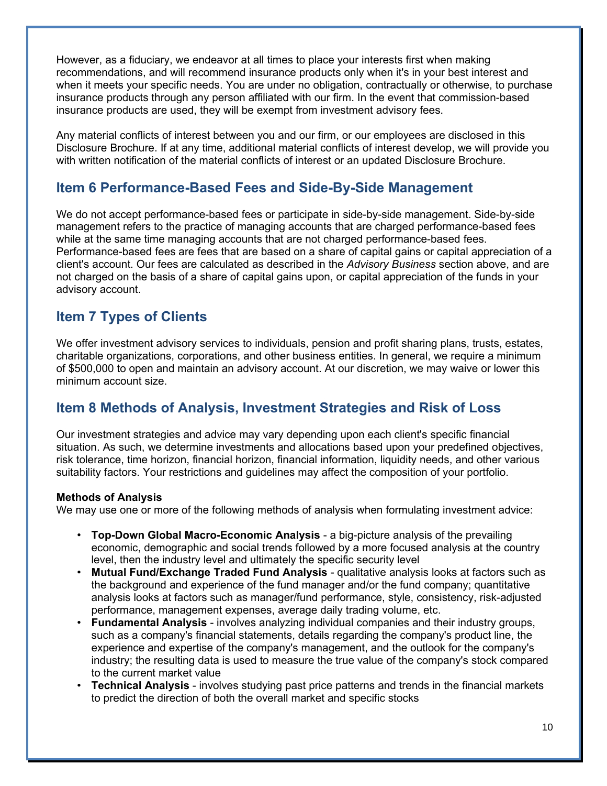However, as a fiduciary, we endeavor at all times to place your interests first when making recommendations, and will recommend insurance products only when it's in your best interest and when it meets your specific needs. You are under no obligation, contractually or otherwise, to purchase insurance products through any person affiliated with our firm. In the event that commission-based insurance products are used, they will be exempt from investment advisory fees.

Any material conflicts of interest between you and our firm, or our employees are disclosed in this Disclosure Brochure. If at any time, additional material conflicts of interest develop, we will provide you with written notification of the material conflicts of interest or an updated Disclosure Brochure.

## **Item 6 Performance-Based Fees and Side-By-Side Management**

We do not accept performance-based fees or participate in side-by-side management. Side-by-side management refers to the practice of managing accounts that are charged performance-based fees while at the same time managing accounts that are not charged performance-based fees. Performance-based fees are fees that are based on a share of capital gains or capital appreciation of a client's account. Our fees are calculated as described in the *Advisory Business* section above, and are not charged on the basis of a share of capital gains upon, or capital appreciation of the funds in your advisory account.

## **Item 7 Types of Clients**

We offer investment advisory services to individuals, pension and profit sharing plans, trusts, estates, charitable organizations, corporations, and other business entities. In general, we require a minimum of \$500,000 to open and maintain an advisory account. At our discretion, we may waive or lower this minimum account size.

### **Item 8 Methods of Analysis, Investment Strategies and Risk of Loss**

Our investment strategies and advice may vary depending upon each client's specific financial situation. As such, we determine investments and allocations based upon your predefined objectives, risk tolerance, time horizon, financial horizon, financial information, liquidity needs, and other various suitability factors. Your restrictions and guidelines may affect the composition of your portfolio.

### **Methods of Analysis**

We may use one or more of the following methods of analysis when formulating investment advice:

- **Top-Down Global Macro-Economic Analysis** a big-picture analysis of the prevailing economic, demographic and social trends followed by a more focused analysis at the country level, then the industry level and ultimately the specific security level
- **Mutual Fund/Exchange Traded Fund Analysis** qualitative analysis looks at factors such as the background and experience of the fund manager and/or the fund company; quantitative analysis looks at factors such as manager/fund performance, style, consistency, risk-adjusted performance, management expenses, average daily trading volume, etc.
- **Fundamental Analysis** involves analyzing individual companies and their industry groups, such as a company's financial statements, details regarding the company's product line, the experience and expertise of the company's management, and the outlook for the company's industry; the resulting data is used to measure the true value of the company's stock compared to the current market value
- **Technical Analysis** involves studying past price patterns and trends in the financial markets to predict the direction of both the overall market and specific stocks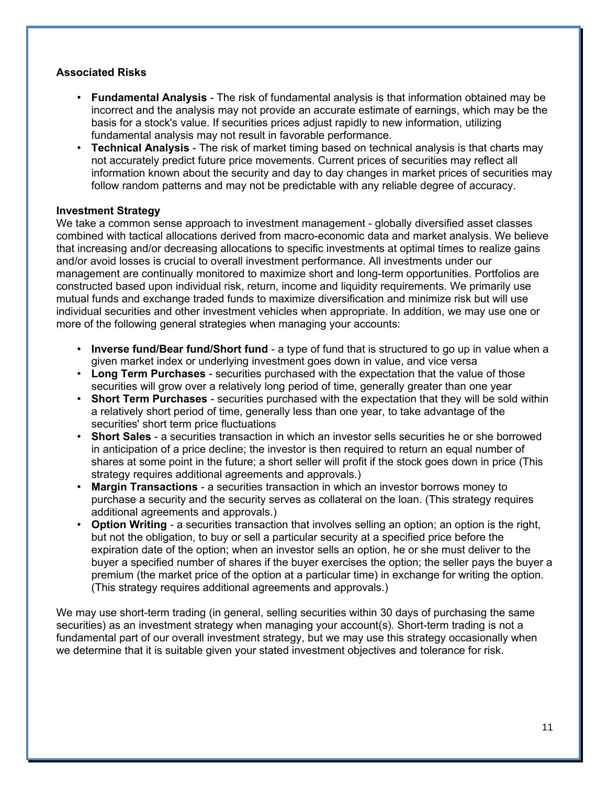### **Associated Risks**

- **Fundamental Analysis** The risk of fundamental analysis is that information obtained may be incorrect and the analysis may not provide an accurate estimate of earnings, which may be the basis for a stock's value. If securities prices adjust rapidly to new information, utilizing fundamental analysis may not result in favorable performance.
- **Technical Analysis** The risk of market timing based on technical analysis is that charts may not accurately predict future price movements. Current prices of securities may reflect all information known about the security and day to day changes in market prices of securities may follow random patterns and may not be predictable with any reliable degree of accuracy.

### **Investment Strategy**

We take a common sense approach to investment management - globally diversified asset classes combined with tactical allocations derived from macro-economic data and market analysis. We believe that increasing and/or decreasing allocations to specific investments at optimal times to realize gains and/or avoid losses is crucial to overall investment performance. All investments under our management are continually monitored to maximize short and long-term opportunities. Portfolios are constructed based upon individual risk, return, income and liquidity requirements. We primarily use mutual funds and exchange traded funds to maximize diversification and minimize risk but will use individual securities and other investment vehicles when appropriate. In addition, we may use one or more of the following general strategies when managing your accounts:

- **Inverse fund/Bear fund/Short fund** a type of fund that is structured to go up in value when a given market index or underlying investment goes down in value, and vice versa
- **Long Term Purchases** securities purchased with the expectation that the value of those securities will grow over a relatively long period of time, generally greater than one year
- **Short Term Purchases** securities purchased with the expectation that they will be sold within a relatively short period of time, generally less than one year, to take advantage of the securities' short term price fluctuations
- **Short Sales** a securities transaction in which an investor sells securities he or she borrowed in anticipation of a price decline; the investor is then required to return an equal number of shares at some point in the future; a short seller will profit if the stock goes down in price (This strategy requires additional agreements and approvals.)
- **Margin Transactions** a securities transaction in which an investor borrows money to purchase a security and the security serves as collateral on the loan. (This strategy requires additional agreements and approvals.)
- **Option Writing** a securities transaction that involves selling an option; an option is the right, but not the obligation, to buy or sell a particular security at a specified price before the expiration date of the option; when an investor sells an option, he or she must deliver to the buyer a specified number of shares if the buyer exercises the option; the seller pays the buyer a premium (the market price of the option at a particular time) in exchange for writing the option. (This strategy requires additional agreements and approvals.)

We may use short-term trading (in general, selling securities within 30 days of purchasing the same securities) as an investment strategy when managing your account(s). Short-term trading is not a fundamental part of our overall investment strategy, but we may use this strategy occasionally when we determine that it is suitable given your stated investment objectives and tolerance for risk.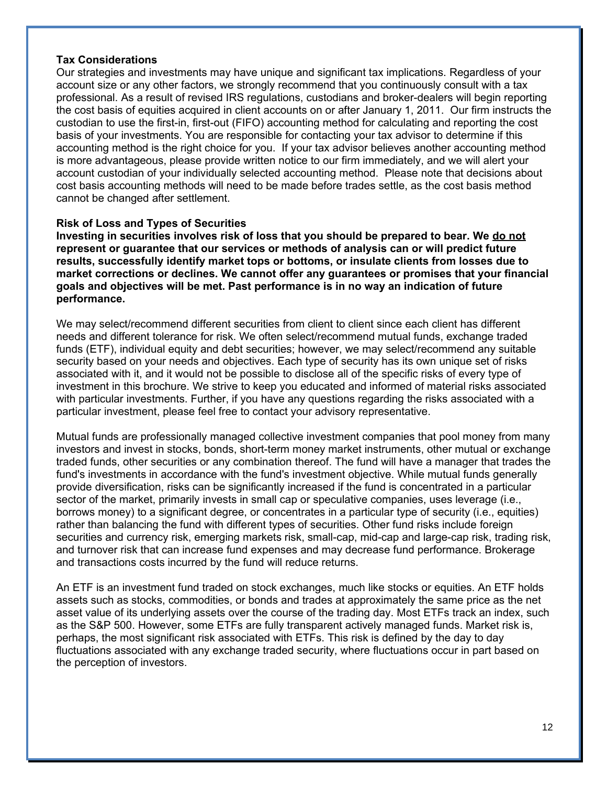### **Tax Considerations**

Our strategies and investments may have unique and significant tax implications. Regardless of your account size or any other factors, we strongly recommend that you continuously consult with a tax professional. As a result of revised IRS regulations, custodians and broker-dealers will begin reporting the cost basis of equities acquired in client accounts on or after January 1, 2011. Our firm instructs the custodian to use the first-in, first-out (FIFO) accounting method for calculating and reporting the cost basis of your investments. You are responsible for contacting your tax advisor to determine if this accounting method is the right choice for you. If your tax advisor believes another accounting method is more advantageous, please provide written notice to our firm immediately, and we will alert your account custodian of your individually selected accounting method. Please note that decisions about cost basis accounting methods will need to be made before trades settle, as the cost basis method cannot be changed after settlement.

### **Risk of Loss and Types of Securities**

**Investing in securities involves risk of loss that you should be prepared to bear. We do not represent or guarantee that our services or methods of analysis can or will predict future results, successfully identify market tops or bottoms, or insulate clients from losses due to market corrections or declines. We cannot offer any guarantees or promises that your financial goals and objectives will be met. Past performance is in no way an indication of future performance.** 

We may select/recommend different securities from client to client since each client has different needs and different tolerance for risk. We often select/recommend mutual funds, exchange traded funds (ETF), individual equity and debt securities; however, we may select/recommend any suitable security based on your needs and objectives. Each type of security has its own unique set of risks associated with it, and it would not be possible to disclose all of the specific risks of every type of investment in this brochure. We strive to keep you educated and informed of material risks associated with particular investments. Further, if you have any questions regarding the risks associated with a particular investment, please feel free to contact your advisory representative.

Mutual funds are professionally managed collective investment companies that pool money from many investors and invest in stocks, bonds, short-term money market instruments, other mutual or exchange traded funds, other securities or any combination thereof. The fund will have a manager that trades the fund's investments in accordance with the fund's investment objective. While mutual funds generally provide diversification, risks can be significantly increased if the fund is concentrated in a particular sector of the market, primarily invests in small cap or speculative companies, uses leverage (i.e., borrows money) to a significant degree, or concentrates in a particular type of security (i.e., equities) rather than balancing the fund with different types of securities. Other fund risks include foreign securities and currency risk, emerging markets risk, small-cap, mid-cap and large-cap risk, trading risk, and turnover risk that can increase fund expenses and may decrease fund performance. Brokerage and transactions costs incurred by the fund will reduce returns.

An ETF is an investment fund traded on stock exchanges, much like stocks or equities. An ETF holds assets such as stocks, commodities, or bonds and trades at approximately the same price as the net asset value of its underlying assets over the course of the trading day. Most ETFs track an index, such as the S&P 500. However, some ETFs are fully transparent actively managed funds. Market risk is, perhaps, the most significant risk associated with ETFs. This risk is defined by the day to day fluctuations associated with any exchange traded security, where fluctuations occur in part based on the perception of investors.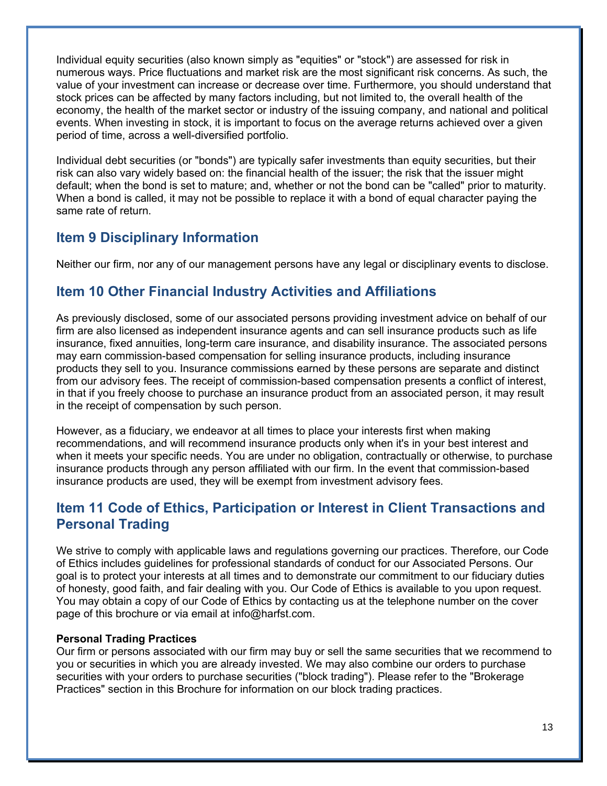Individual equity securities (also known simply as "equities" or "stock") are assessed for risk in numerous ways. Price fluctuations and market risk are the most significant risk concerns. As such, the value of your investment can increase or decrease over time. Furthermore, you should understand that stock prices can be affected by many factors including, but not limited to, the overall health of the economy, the health of the market sector or industry of the issuing company, and national and political events. When investing in stock, it is important to focus on the average returns achieved over a given period of time, across a well-diversified portfolio.

Individual debt securities (or "bonds") are typically safer investments than equity securities, but their risk can also vary widely based on: the financial health of the issuer; the risk that the issuer might default; when the bond is set to mature; and, whether or not the bond can be "called" prior to maturity. When a bond is called, it may not be possible to replace it with a bond of equal character paying the same rate of return.

## **Item 9 Disciplinary Information**

Neither our firm, nor any of our management persons have any legal or disciplinary events to disclose.

## **Item 10 Other Financial Industry Activities and Affiliations**

As previously disclosed, some of our associated persons providing investment advice on behalf of our firm are also licensed as independent insurance agents and can sell insurance products such as life insurance, fixed annuities, long-term care insurance, and disability insurance. The associated persons may earn commission-based compensation for selling insurance products, including insurance products they sell to you. Insurance commissions earned by these persons are separate and distinct from our advisory fees. The receipt of commission-based compensation presents a conflict of interest, in that if you freely choose to purchase an insurance product from an associated person, it may result in the receipt of compensation by such person.

However, as a fiduciary, we endeavor at all times to place your interests first when making recommendations, and will recommend insurance products only when it's in your best interest and when it meets your specific needs. You are under no obligation, contractually or otherwise, to purchase insurance products through any person affiliated with our firm. In the event that commission-based insurance products are used, they will be exempt from investment advisory fees.

## **Item 11 Code of Ethics, Participation or Interest in Client Transactions and Personal Trading**

We strive to comply with applicable laws and regulations governing our practices. Therefore, our Code of Ethics includes guidelines for professional standards of conduct for our Associated Persons. Our goal is to protect your interests at all times and to demonstrate our commitment to our fiduciary duties of honesty, good faith, and fair dealing with you. Our Code of Ethics is available to you upon request. You may obtain a copy of our Code of Ethics by contacting us at the telephone number on the cover page of this brochure or via email at info@harfst.com.

### **Personal Trading Practices**

Our firm or persons associated with our firm may buy or sell the same securities that we recommend to you or securities in which you are already invested. We may also combine our orders to purchase securities with your orders to purchase securities ("block trading"). Please refer to the "Brokerage Practices" section in this Brochure for information on our block trading practices.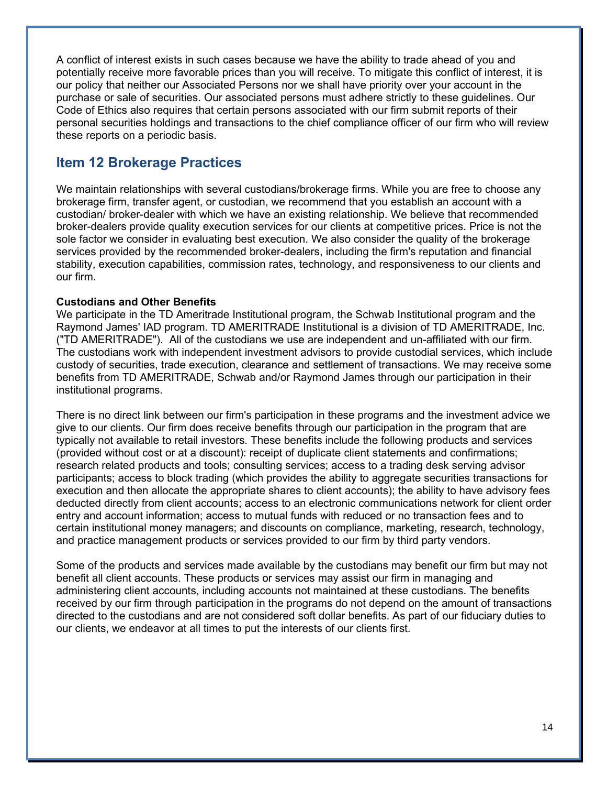A conflict of interest exists in such cases because we have the ability to trade ahead of you and potentially receive more favorable prices than you will receive. To mitigate this conflict of interest, it is our policy that neither our Associated Persons nor we shall have priority over your account in the purchase or sale of securities. Our associated persons must adhere strictly to these guidelines. Our Code of Ethics also requires that certain persons associated with our firm submit reports of their personal securities holdings and transactions to the chief compliance officer of our firm who will review these reports on a periodic basis.

### **Item 12 Brokerage Practices**

We maintain relationships with several custodians/brokerage firms. While you are free to choose any brokerage firm, transfer agent, or custodian, we recommend that you establish an account with a custodian/ broker-dealer with which we have an existing relationship. We believe that recommended broker-dealers provide quality execution services for our clients at competitive prices. Price is not the sole factor we consider in evaluating best execution. We also consider the quality of the brokerage services provided by the recommended broker-dealers, including the firm's reputation and financial stability, execution capabilities, commission rates, technology, and responsiveness to our clients and our firm.

### **Custodians and Other Benefits**

We participate in the TD Ameritrade Institutional program, the Schwab Institutional program and the Raymond James' IAD program. TD AMERITRADE Institutional is a division of TD AMERITRADE, Inc. ("TD AMERITRADE"). All of the custodians we use are independent and un-affiliated with our firm. The custodians work with independent investment advisors to provide custodial services, which include custody of securities, trade execution, clearance and settlement of transactions. We may receive some benefits from TD AMERITRADE, Schwab and/or Raymond James through our participation in their institutional programs.

There is no direct link between our firm's participation in these programs and the investment advice we give to our clients. Our firm does receive benefits through our participation in the program that are typically not available to retail investors. These benefits include the following products and services (provided without cost or at a discount): receipt of duplicate client statements and confirmations; research related products and tools; consulting services; access to a trading desk serving advisor participants; access to block trading (which provides the ability to aggregate securities transactions for execution and then allocate the appropriate shares to client accounts); the ability to have advisory fees deducted directly from client accounts; access to an electronic communications network for client order entry and account information; access to mutual funds with reduced or no transaction fees and to certain institutional money managers; and discounts on compliance, marketing, research, technology, and practice management products or services provided to our firm by third party vendors.

Some of the products and services made available by the custodians may benefit our firm but may not benefit all client accounts. These products or services may assist our firm in managing and administering client accounts, including accounts not maintained at these custodians. The benefits received by our firm through participation in the programs do not depend on the amount of transactions directed to the custodians and are not considered soft dollar benefits. As part of our fiduciary duties to our clients, we endeavor at all times to put the interests of our clients first.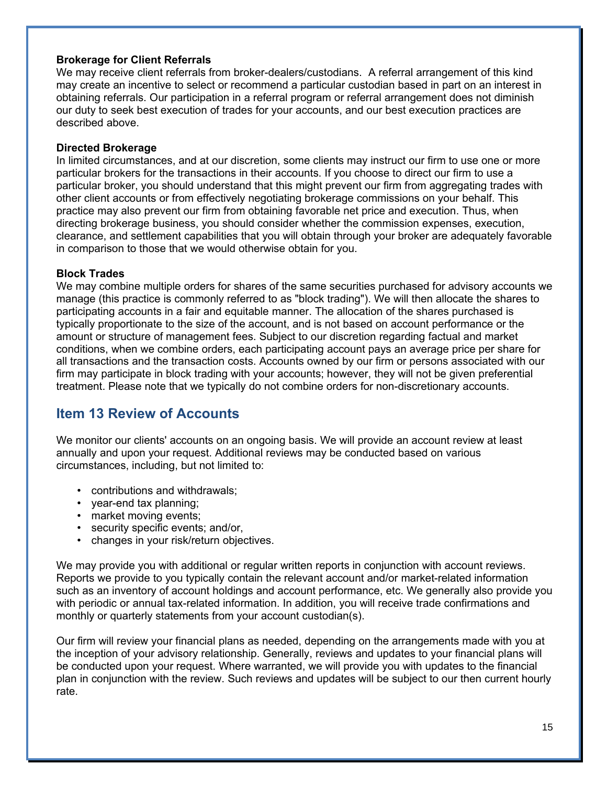### **Brokerage for Client Referrals**

We may receive client referrals from broker-dealers/custodians. A referral arrangement of this kind may create an incentive to select or recommend a particular custodian based in part on an interest in obtaining referrals. Our participation in a referral program or referral arrangement does not diminish our duty to seek best execution of trades for your accounts, and our best execution practices are described above.

### **Directed Brokerage**

In limited circumstances, and at our discretion, some clients may instruct our firm to use one or more particular brokers for the transactions in their accounts. If you choose to direct our firm to use a particular broker, you should understand that this might prevent our firm from aggregating trades with other client accounts or from effectively negotiating brokerage commissions on your behalf. This practice may also prevent our firm from obtaining favorable net price and execution. Thus, when directing brokerage business, you should consider whether the commission expenses, execution, clearance, and settlement capabilities that you will obtain through your broker are adequately favorable in comparison to those that we would otherwise obtain for you.

### **Block Trades**

We may combine multiple orders for shares of the same securities purchased for advisory accounts we manage (this practice is commonly referred to as "block trading"). We will then allocate the shares to participating accounts in a fair and equitable manner. The allocation of the shares purchased is typically proportionate to the size of the account, and is not based on account performance or the amount or structure of management fees. Subject to our discretion regarding factual and market conditions, when we combine orders, each participating account pays an average price per share for all transactions and the transaction costs. Accounts owned by our firm or persons associated with our firm may participate in block trading with your accounts; however, they will not be given preferential treatment. Please note that we typically do not combine orders for non-discretionary accounts.

## **Item 13 Review of Accounts**

We monitor our clients' accounts on an ongoing basis. We will provide an account review at least annually and upon your request. Additional reviews may be conducted based on various circumstances, including, but not limited to:

- contributions and withdrawals;
- year-end tax planning;
- market moving events;
- security specific events; and/or,
- changes in your risk/return objectives.

We may provide you with additional or regular written reports in conjunction with account reviews. Reports we provide to you typically contain the relevant account and/or market-related information such as an inventory of account holdings and account performance, etc. We generally also provide you with periodic or annual tax-related information. In addition, you will receive trade confirmations and monthly or quarterly statements from your account custodian(s).

Our firm will review your financial plans as needed, depending on the arrangements made with you at the inception of your advisory relationship. Generally, reviews and updates to your financial plans will be conducted upon your request. Where warranted, we will provide you with updates to the financial plan in conjunction with the review. Such reviews and updates will be subject to our then current hourly rate.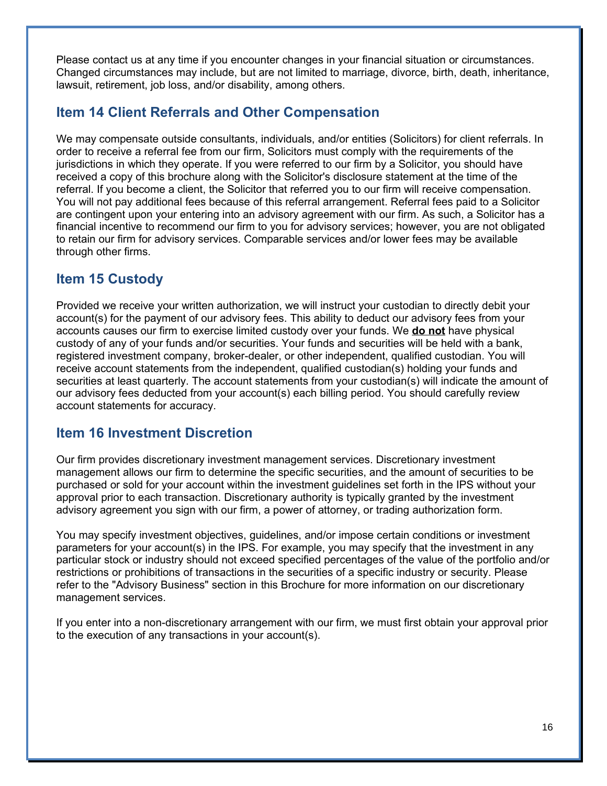Please contact us at any time if you encounter changes in your financial situation or circumstances. Changed circumstances may include, but are not limited to marriage, divorce, birth, death, inheritance, lawsuit, retirement, job loss, and/or disability, among others.

## **Item 14 Client Referrals and Other Compensation**

We may compensate outside consultants, individuals, and/or entities (Solicitors) for client referrals. In order to receive a referral fee from our firm, Solicitors must comply with the requirements of the jurisdictions in which they operate. If you were referred to our firm by a Solicitor, you should have received a copy of this brochure along with the Solicitor's disclosure statement at the time of the referral. If you become a client, the Solicitor that referred you to our firm will receive compensation. You will not pay additional fees because of this referral arrangement. Referral fees paid to a Solicitor are contingent upon your entering into an advisory agreement with our firm. As such, a Solicitor has a financial incentive to recommend our firm to you for advisory services; however, you are not obligated to retain our firm for advisory services. Comparable services and/or lower fees may be available through other firms.

## **Item 15 Custody**

Provided we receive your written authorization, we will instruct your custodian to directly debit your account(s) for the payment of our advisory fees. This ability to deduct our advisory fees from your accounts causes our firm to exercise limited custody over your funds. We **do not** have physical custody of any of your funds and/or securities. Your funds and securities will be held with a bank, registered investment company, broker-dealer, or other independent, qualified custodian. You will receive account statements from the independent, qualified custodian(s) holding your funds and securities at least quarterly. The account statements from your custodian(s) will indicate the amount of our advisory fees deducted from your account(s) each billing period. You should carefully review account statements for accuracy.

### **Item 16 Investment Discretion**

Our firm provides discretionary investment management services. Discretionary investment management allows our firm to determine the specific securities, and the amount of securities to be purchased or sold for your account within the investment guidelines set forth in the IPS without your approval prior to each transaction. Discretionary authority is typically granted by the investment advisory agreement you sign with our firm, a power of attorney, or trading authorization form.

You may specify investment objectives, guidelines, and/or impose certain conditions or investment parameters for your account(s) in the IPS. For example, you may specify that the investment in any particular stock or industry should not exceed specified percentages of the value of the portfolio and/or restrictions or prohibitions of transactions in the securities of a specific industry or security. Please refer to the "Advisory Business" section in this Brochure for more information on our discretionary management services.

If you enter into a non-discretionary arrangement with our firm, we must first obtain your approval prior to the execution of any transactions in your account(s).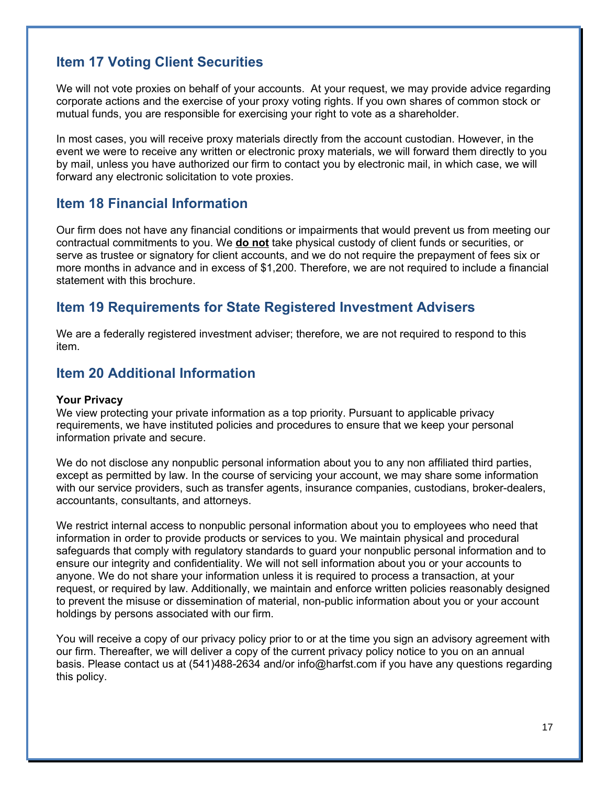## **Item 17 Voting Client Securities**

We will not vote proxies on behalf of your accounts. At your request, we may provide advice regarding corporate actions and the exercise of your proxy voting rights. If you own shares of common stock or mutual funds, you are responsible for exercising your right to vote as a shareholder.

In most cases, you will receive proxy materials directly from the account custodian. However, in the event we were to receive any written or electronic proxy materials, we will forward them directly to you by mail, unless you have authorized our firm to contact you by electronic mail, in which case, we will forward any electronic solicitation to vote proxies.

### **Item 18 Financial Information**

Our firm does not have any financial conditions or impairments that would prevent us from meeting our contractual commitments to you. We **do not** take physical custody of client funds or securities, or serve as trustee or signatory for client accounts, and we do not require the prepayment of fees six or more months in advance and in excess of \$1,200. Therefore, we are not required to include a financial statement with this brochure.

## **Item 19 Requirements for State Registered Investment Advisers**

We are a federally registered investment adviser; therefore, we are not required to respond to this item.

### **Item 20 Additional Information**

### **Your Privacy**

We view protecting your private information as a top priority. Pursuant to applicable privacy requirements, we have instituted policies and procedures to ensure that we keep your personal information private and secure.

We do not disclose any nonpublic personal information about you to any non affiliated third parties, except as permitted by law. In the course of servicing your account, we may share some information with our service providers, such as transfer agents, insurance companies, custodians, broker-dealers, accountants, consultants, and attorneys.

We restrict internal access to nonpublic personal information about you to employees who need that information in order to provide products or services to you. We maintain physical and procedural safeguards that comply with regulatory standards to guard your nonpublic personal information and to ensure our integrity and confidentiality. We will not sell information about you or your accounts to anyone. We do not share your information unless it is required to process a transaction, at your request, or required by law. Additionally, we maintain and enforce written policies reasonably designed to prevent the misuse or dissemination of material, non-public information about you or your account holdings by persons associated with our firm.

You will receive a copy of our privacy policy prior to or at the time you sign an advisory agreement with our firm. Thereafter, we will deliver a copy of the current privacy policy notice to you on an annual basis. Please contact us at (541)488-2634 and/or info@harfst.com if you have any questions regarding this policy.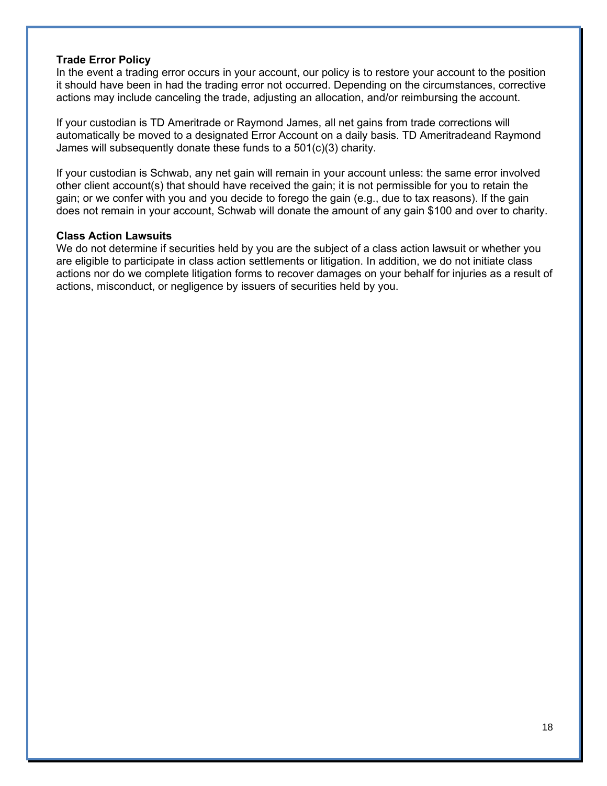### **Trade Error Policy**

In the event a trading error occurs in your account, our policy is to restore your account to the position it should have been in had the trading error not occurred. Depending on the circumstances, corrective actions may include canceling the trade, adjusting an allocation, and/or reimbursing the account.

If your custodian is TD Ameritrade or Raymond James, all net gains from trade corrections will automatically be moved to a designated Error Account on a daily basis. TD Ameritradeand Raymond James will subsequently donate these funds to a 501(c)(3) charity.

If your custodian is Schwab, any net gain will remain in your account unless: the same error involved other client account(s) that should have received the gain; it is not permissible for you to retain the gain; or we confer with you and you decide to forego the gain (e.g., due to tax reasons). If the gain does not remain in your account, Schwab will donate the amount of any gain \$100 and over to charity.

#### **Class Action Lawsuits**

We do not determine if securities held by you are the subject of a class action lawsuit or whether you are eligible to participate in class action settlements or litigation. In addition, we do not initiate class actions nor do we complete litigation forms to recover damages on your behalf for injuries as a result of actions, misconduct, or negligence by issuers of securities held by you.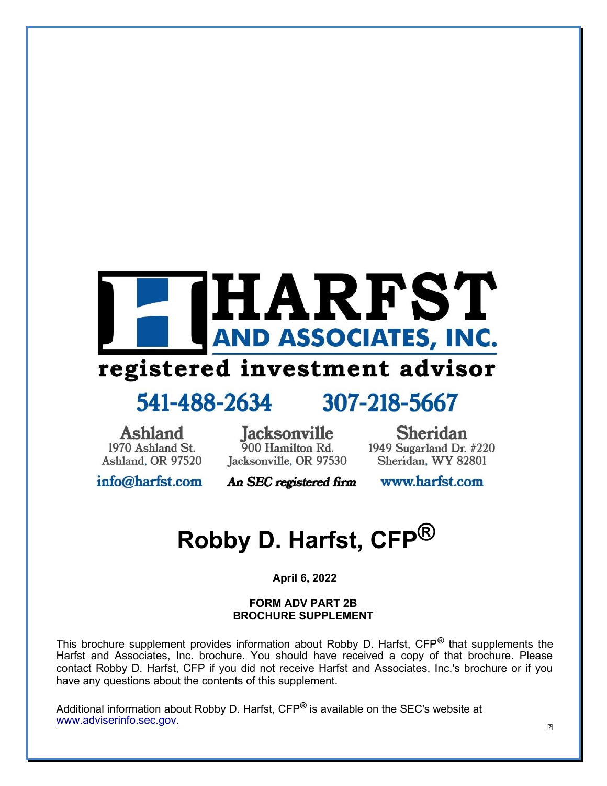

## registered investment advisor

## 541-488-2634

## 307-218-5667

**Ashland** 1970 Ashland St. Ashland, OR 97520

**Jacksonville** 900 Hamilton Rd. Jacksonville, OR 97530

**Sheridan** 1949 Sugarland Dr. #220 Sheridan, WY 82801

info@harfst.com

An SEC registered firm www.harfst.com

## **Robby D. Harfst, CFP®**

**April 6, 2022**

#### **FORM ADV PART 2B BROCHURE SUPPLEMENT**

This brochure supplement provides information about Robby D. Harfst, CFP**®** that supplements the Harfst and Associates, Inc. brochure. You should have received a copy of that brochure. Please contact Robby D. Harfst, CFP if you did not receive Harfst and Associates, Inc.'s brochure or if you have any questions about the contents of this supplement.

Additional information about Robby D. Harfst, CFP**®** is available on the SEC's website at [www.adviserinfo.sec.gov.](http://www.adviserinfo.sec.gov/)

 $\mathbf{1}$ 1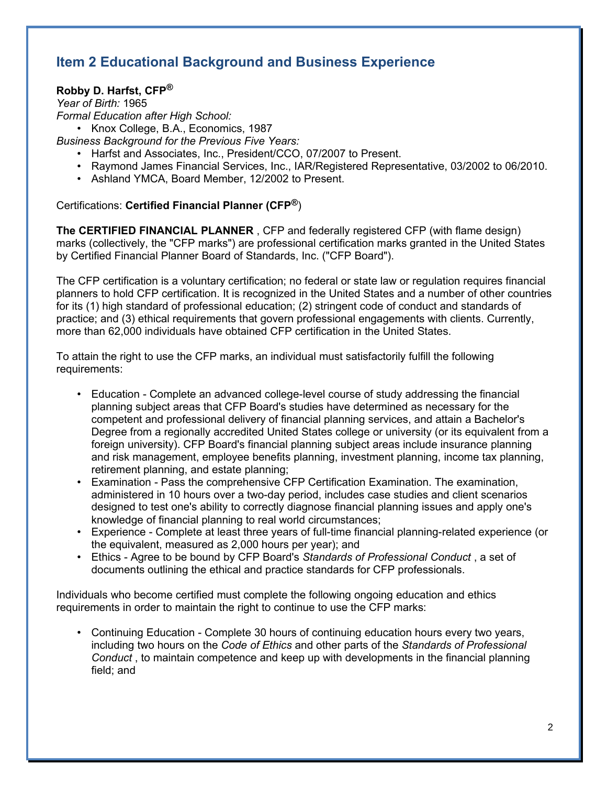## **Item 2 Educational Background and Business Experience**

### **Robby D. Harfst, CFP®**

*Year of Birth:* 1965 *Formal Education after High School:*

• Knox College, B.A., Economics, 1987

*Business Background for the Previous Five Years:*

- Harfst and Associates, Inc., President/CCO, 07/2007 to Present.
- Raymond James Financial Services, Inc., IAR/Registered Representative, 03/2002 to 06/2010.
- Ashland YMCA, Board Member, 12/2002 to Present.

### Certifications: **Certified Financial Planner (CFP®**)

**The CERTIFIED FINANCIAL PLANNER** , CFP and federally registered CFP (with flame design) marks (collectively, the "CFP marks") are professional certification marks granted in the United States by Certified Financial Planner Board of Standards, Inc. ("CFP Board").

The CFP certification is a voluntary certification; no federal or state law or regulation requires financial planners to hold CFP certification. It is recognized in the United States and a number of other countries for its (1) high standard of professional education; (2) stringent code of conduct and standards of practice; and (3) ethical requirements that govern professional engagements with clients. Currently, more than 62,000 individuals have obtained CFP certification in the United States.

To attain the right to use the CFP marks, an individual must satisfactorily fulfill the following requirements:

- Education Complete an advanced college-level course of study addressing the financial planning subject areas that CFP Board's studies have determined as necessary for the competent and professional delivery of financial planning services, and attain a Bachelor's Degree from a regionally accredited United States college or university (or its equivalent from a foreign university). CFP Board's financial planning subject areas include insurance planning and risk management, employee benefits planning, investment planning, income tax planning, retirement planning, and estate planning;
- Examination Pass the comprehensive CFP Certification Examination. The examination, administered in 10 hours over a two-day period, includes case studies and client scenarios designed to test one's ability to correctly diagnose financial planning issues and apply one's knowledge of financial planning to real world circumstances;
- Experience Complete at least three years of full-time financial planning-related experience (or the equivalent, measured as 2,000 hours per year); and
- Ethics Agree to be bound by CFP Board's *Standards of Professional Conduct* , a set of documents outlining the ethical and practice standards for CFP professionals.

Individuals who become certified must complete the following ongoing education and ethics requirements in order to maintain the right to continue to use the CFP marks:

• Continuing Education - Complete 30 hours of continuing education hours every two years, including two hours on the *Code of Ethics* and other parts of the *Standards of Professional Conduct* , to maintain competence and keep up with developments in the financial planning field; and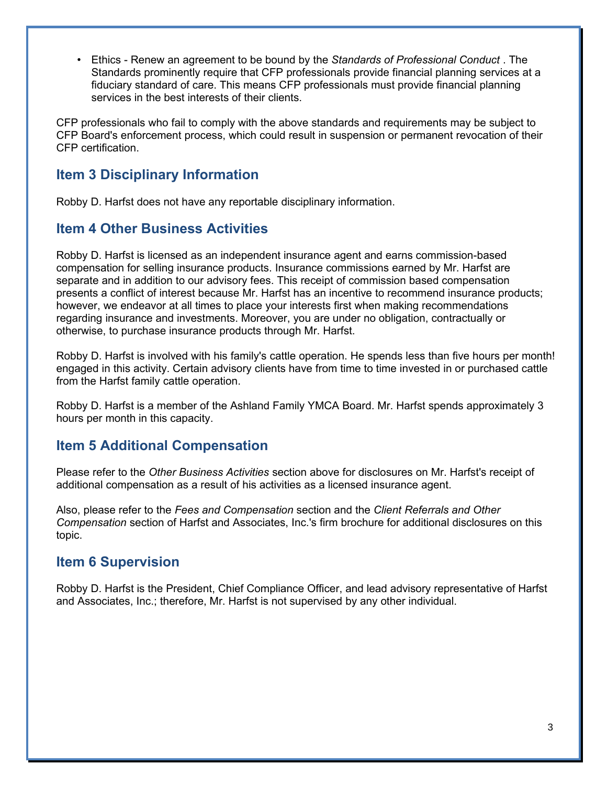• Ethics - Renew an agreement to be bound by the *Standards of Professional Conduct* . The Standards prominently require that CFP professionals provide financial planning services at a fiduciary standard of care. This means CFP professionals must provide financial planning services in the best interests of their clients.

CFP professionals who fail to comply with the above standards and requirements may be subject to CFP Board's enforcement process, which could result in suspension or permanent revocation of their CFP certification.

### **Item 3 Disciplinary Information**

Robby D. Harfst does not have any reportable disciplinary information.

### **Item 4 Other Business Activities**

Robby D. Harfst is licensed as an independent insurance agent and earns commission-based compensation for selling insurance products. Insurance commissions earned by Mr. Harfst are separate and in addition to our advisory fees. This receipt of commission based compensation presents a conflict of interest because Mr. Harfst has an incentive to recommend insurance products; however, we endeavor at all times to place your interests first when making recommendations regarding insurance and investments. Moreover, you are under no obligation, contractually or otherwise, to purchase insurance products through Mr. Harfst.

Robby D. Harfst is involved with his family's cattle operation. He spends less than five hours per month! engaged in this activity. Certain advisory clients have from time to time invested in or purchased cattle from the Harfst family cattle operation.

Robby D. Harfst is a member of the Ashland Family YMCA Board. Mr. Harfst spends approximately 3 hours per month in this capacity.

### **Item 5 Additional Compensation**

Please refer to the *Other Business Activities* section above for disclosures on Mr. Harfst's receipt of additional compensation as a result of his activities as a licensed insurance agent.

Also, please refer to the *Fees and Compensation* section and the *Client Referrals and Other Compensation* section of Harfst and Associates, Inc.'s firm brochure for additional disclosures on this topic.

### **Item 6 Supervision**

Robby D. Harfst is the President, Chief Compliance Officer, and lead advisory representative of Harfst and Associates, Inc.; therefore, Mr. Harfst is not supervised by any other individual.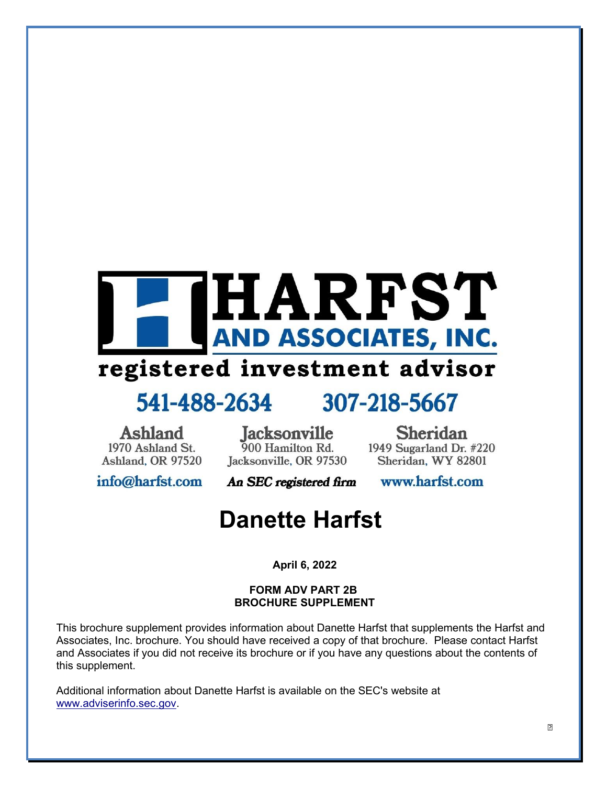

## registered investment advisor

## 541-488-2634

## 307-218-5667

Ashland 1970 Ashland St. Ashland, OR 97520

Jacksonville 900 Hamilton Rd. Jacksonville, OR 97530

**Sheridan** 1949 Sugarland Dr. #220 Sheridan, WY 82801

info@harfst.com

An SEC registered firm

www.harfst.com

## **Danette Harfst**

**April 6, 2022**

### **FORM ADV PART 2B BROCHURE SUPPLEMENT**

This brochure supplement provides information about Danette Harfst that supplements the Harfst and Associates, Inc. brochure. You should have received a copy of that brochure. Please contact Harfst and Associates if you did not receive its brochure or if you have any questions about the contents of this supplement.

Additional information about Danette Harfst is available on the SEC's website at [www.adviserinfo.sec.gov.](http://www.adviserinfo.sec.gov/)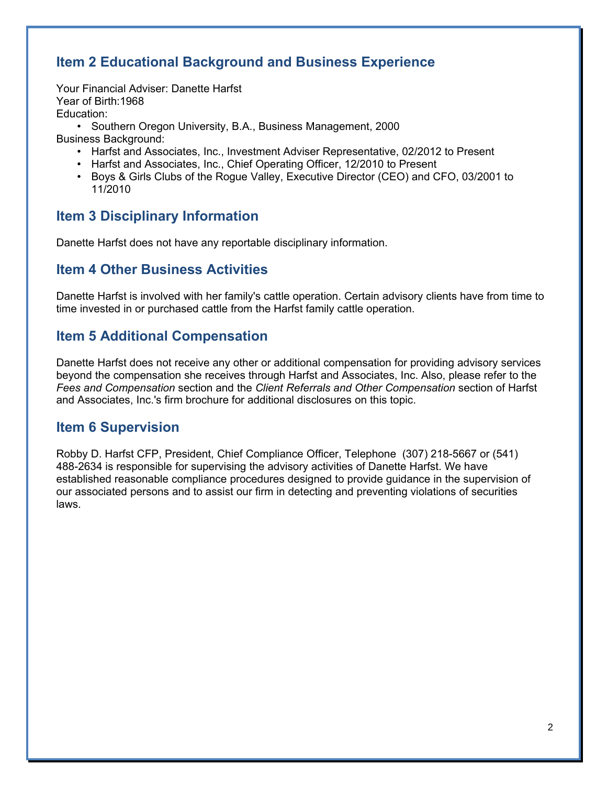## **Item 2 Educational Background and Business Experience**

Your Financial Adviser: Danette Harfst Year of Birth:1968 Education:

• Southern Oregon University, B.A., Business Management, 2000

Business Background:

- Harfst and Associates, Inc., Investment Adviser Representative, 02/2012 to Present
- Harfst and Associates, Inc., Chief Operating Officer, 12/2010 to Present
- Boys & Girls Clubs of the Rogue Valley, Executive Director (CEO) and CFO, 03/2001 to 11/2010

## **Item 3 Disciplinary Information**

Danette Harfst does not have any reportable disciplinary information.

### **Item 4 Other Business Activities**

Danette Harfst is involved with her family's cattle operation. Certain advisory clients have from time to time invested in or purchased cattle from the Harfst family cattle operation.

### **Item 5 Additional Compensation**

Danette Harfst does not receive any other or additional compensation for providing advisory services beyond the compensation she receives through Harfst and Associates, Inc. Also, please refer to the *Fees and Compensation* section and the *Client Referrals and Other Compensation* section of Harfst and Associates, Inc.'s firm brochure for additional disclosures on this topic.

### **Item 6 Supervision**

Robby D. Harfst CFP, President, Chief Compliance Officer, Telephone (307) 218-5667 or (541) 488-2634 is responsible for supervising the advisory activities of Danette Harfst. We have established reasonable compliance procedures designed to provide guidance in the supervision of our associated persons and to assist our firm in detecting and preventing violations of securities laws.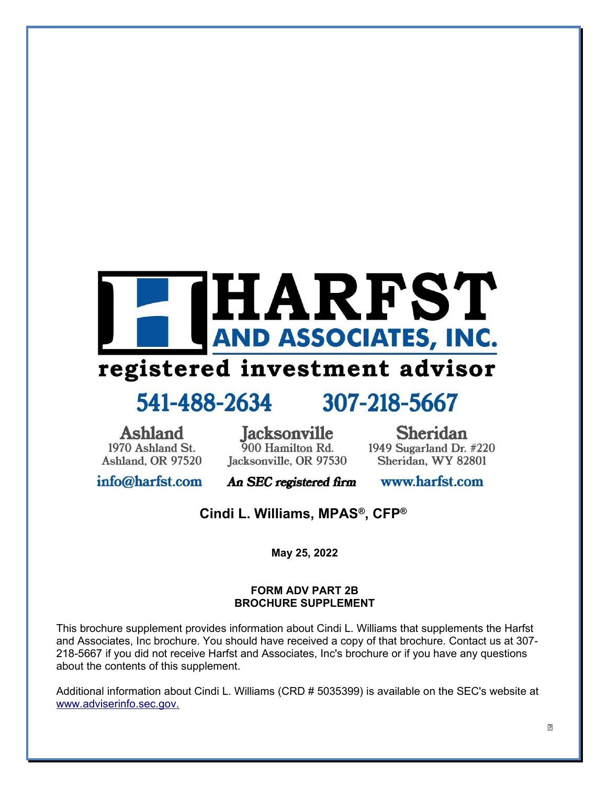

## registered investment advisor

## 541-488-2634

## 307-218-5667

**Ashland** 1970 Ashland St. Ashland, OR 97520

**Jacksonville** 900 Hamilton Rd. Jacksonville, OR 97530

**Sheridan** 1949 Sugarland Dr. #220 Sheridan, WY 82801

info@harfst.com

An SEC registered firm

www.harfst.com

**Cindi L. Williams, MPAS®, CFP®**

**May 25, 2022**

### **FORM ADV PART 2B BROCHURE SUPPLEMENT**

This brochure supplement provides information about Cindi L. Williams that supplements the Harfst and Associates, Inc brochure. You should have received a copy of that brochure. Contact us at 307- 218-5667 if you did not receive Harfst and Associates, Inc's brochure or if you have any questions about the contents of this supplement.

Additional information about Cindi L. Williams (CRD # 5035399) is available on the SEC's website at [www.adviserinfo.sec.gov.](http://www.adviserinfo.sec.gov./)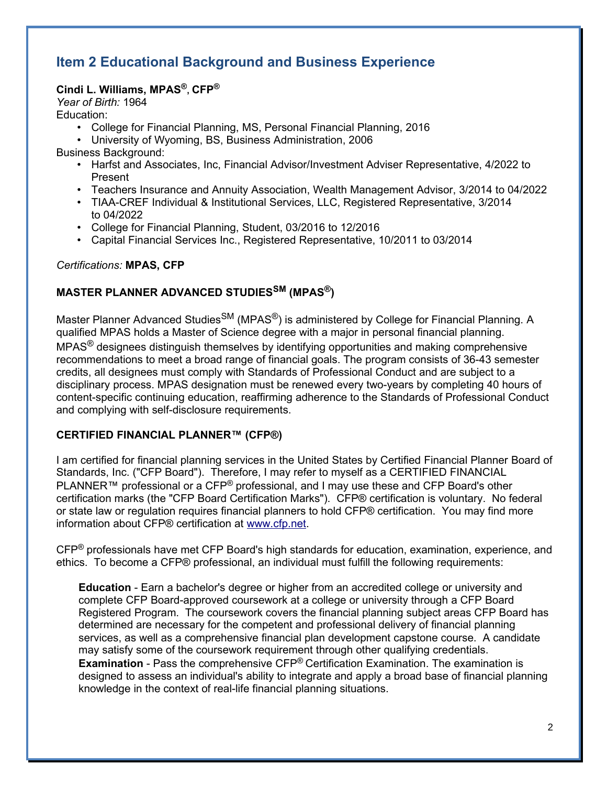## **Item 2 Educational Background and Business Experience**

### **Cindi L. Williams, MPAS®, CFP®**

*Year of Birth:* 1964

Education:

- College for Financial Planning, MS, Personal Financial Planning, 2016
- University of Wyoming, BS, Business Administration, 2006

Business Background:

- Harfst and Associates, Inc, Financial Advisor/Investment Adviser Representative, 4/2022 to Present
- Teachers Insurance and Annuity Association, Wealth Management Advisor, 3/2014 to 04/2022
- TIAA-CREF Individual & Institutional Services, LLC, Registered Representative, 3/2014 to 04/2022
- College for Financial Planning, Student, 03/2016 to 12/2016
- Capital Financial Services Inc., Registered Representative, 10/2011 to 03/2014

### *Certifications:* **MPAS, CFP**

### **MASTER PLANNER ADVANCED STUDIESSM (MPAS®)**

Master Planner Advanced Studies<sup>SM</sup> (MPAS<sup>®</sup>) is administered by College for Financial Planning. A qualified MPAS holds a Master of Science degree with a major in personal financial planning. MPAS<sup>®</sup> designees distinguish themselves by identifying opportunities and making comprehensive recommendations to meet a broad range of financial goals. The program consists of 36-43 semester credits, all designees must comply with Standards of Professional Conduct and are subject to a disciplinary process. MPAS designation must be renewed every two-years by completing 40 hours of content-specific continuing education, reaffirming adherence to the Standards of Professional Conduct and complying with self-disclosure requirements.

### **CERTIFIED FINANCIAL PLANNER™ (CFP®)**

I am certified for financial planning services in the United States by Certified Financial Planner Board of Standards, Inc. ("CFP Board"). Therefore, I may refer to myself as a CERTIFIED FINANCIAL PLANNER<sup>™</sup> professional or a CFP<sup>®</sup> professional, and I may use these and CFP Board's other certification marks (the "CFP Board Certification Marks"). CFP® certification is voluntary. No federal or state law or regulation requires financial planners to hold CFP® certification. You may find more information about CFP® certification at [www.cfp.net.](http://www.cfp.net/)

CFP® professionals have met CFP Board's high standards for education, examination, experience, and ethics. To become a CFP® professional, an individual must fulfill the following requirements:

**Education** - Earn a bachelor's degree or higher from an accredited college or university and complete CFP Board-approved coursework at a college or university through a CFP Board Registered Program. The coursework covers the financial planning subject areas CFP Board has determined are necessary for the competent and professional delivery of financial planning services, as well as a comprehensive financial plan development capstone course. A candidate may satisfy some of the coursework requirement through other qualifying credentials. **Examination** - Pass the comprehensive CFP® Certification Examination. The examination is designed to assess an individual's ability to integrate and apply a broad base of financial planning knowledge in the context of real-life financial planning situations.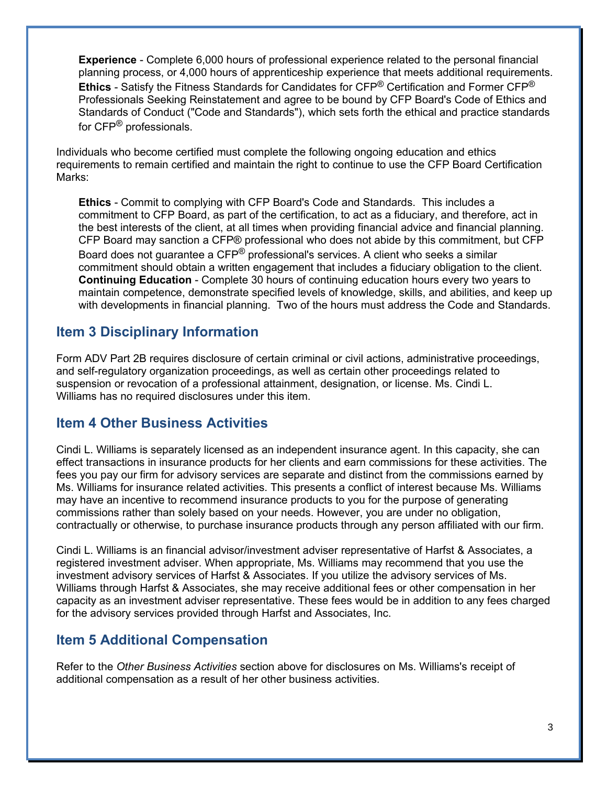**Experience** - Complete 6,000 hours of professional experience related to the personal financial planning process, or 4,000 hours of apprenticeship experience that meets additional requirements. **Ethics** - Satisfy the Fitness Standards for Candidates for CFP® Certification and Former CFP® Professionals Seeking Reinstatement and agree to be bound by CFP Board's Code of Ethics and Standards of Conduct ("Code and Standards"), which sets forth the ethical and practice standards for CFP<sup>®</sup> professionals.

Individuals who become certified must complete the following ongoing education and ethics requirements to remain certified and maintain the right to continue to use the CFP Board Certification Marks:

**Ethics** - Commit to complying with CFP Board's Code and Standards. This includes a commitment to CFP Board, as part of the certification, to act as a fiduciary, and therefore, act in the best interests of the client, at all times when providing financial advice and financial planning. CFP Board may sanction a CFP® professional who does not abide by this commitment, but CFP Board does not guarantee a CFP® professional's services. A client who seeks a similar commitment should obtain a written engagement that includes a fiduciary obligation to the client. **Continuing Education** - Complete 30 hours of continuing education hours every two years to maintain competence, demonstrate specified levels of knowledge, skills, and abilities, and keep up with developments in financial planning. Two of the hours must address the Code and Standards.

## **Item 3 Disciplinary Information**

Form ADV Part 2B requires disclosure of certain criminal or civil actions, administrative proceedings, and self-regulatory organization proceedings, as well as certain other proceedings related to suspension or revocation of a professional attainment, designation, or license. Ms. Cindi L. Williams has no required disclosures under this item.

### **Item 4 Other Business Activities**

Cindi L. Williams is separately licensed as an independent insurance agent. In this capacity, she can effect transactions in insurance products for her clients and earn commissions for these activities. The fees you pay our firm for advisory services are separate and distinct from the commissions earned by Ms. Williams for insurance related activities. This presents a conflict of interest because Ms. Williams may have an incentive to recommend insurance products to you for the purpose of generating commissions rather than solely based on your needs. However, you are under no obligation, contractually or otherwise, to purchase insurance products through any person affiliated with our firm.

Cindi L. Williams is an financial advisor/investment adviser representative of Harfst & Associates, a registered investment adviser. When appropriate, Ms. Williams may recommend that you use the investment advisory services of Harfst & Associates. If you utilize the advisory services of Ms. Williams through Harfst & Associates, she may receive additional fees or other compensation in her capacity as an investment adviser representative. These fees would be in addition to any fees charged for the advisory services provided through Harfst and Associates, Inc.

## **Item 5 Additional Compensation**

Refer to the *Other Business Activities* section above for disclosures on Ms. Williams's receipt of additional compensation as a result of her other business activities.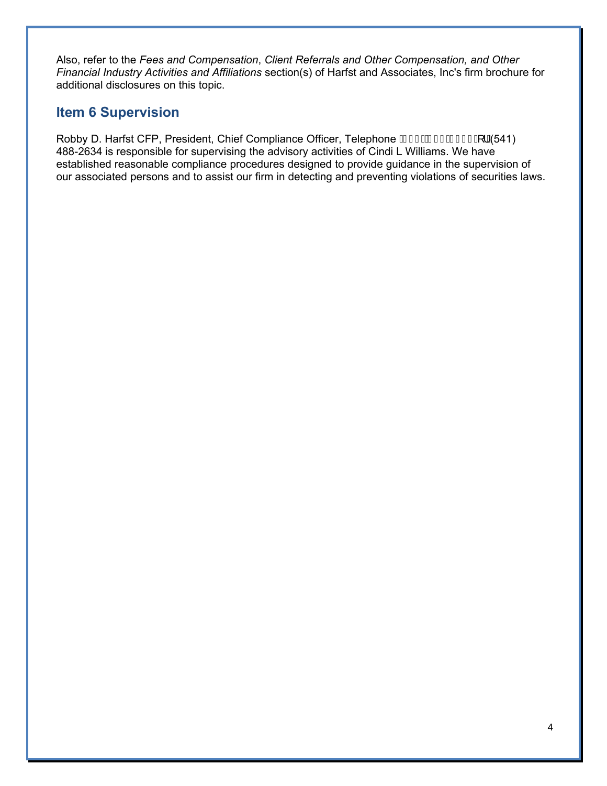Also, refer to the *Fees and Compensation*, *Client Referrals and Other Compensation, and Other Financial Industry Activities and Affiliations* section(s) of Harfst and Associates, Inc's firm brochure for additional disclosures on this topic.

## **Item 6 Supervision**

Robby D. Harfst CFP, President, Chief Compliance Officer, Telephone GH DSFI E I I I A 1A541) 488-2634 is responsible for supervising the advisory activities of Cindi L Williams. We have established reasonable compliance procedures designed to provide guidance in the supervision of our associated persons and to assist our firm in detecting and preventing violations of securities laws.